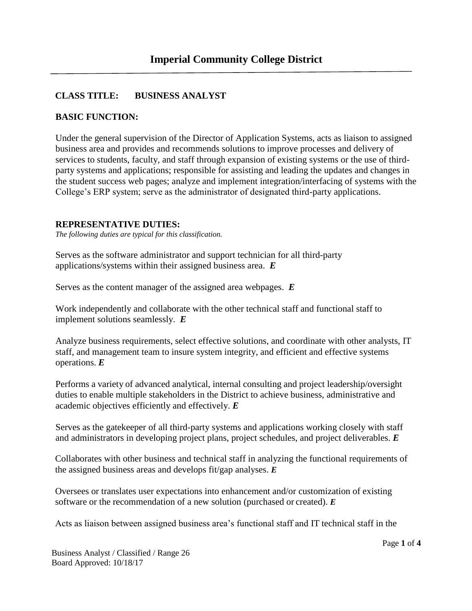## **CLASS TITLE: BUSINESS ANALYST**

#### **BASIC FUNCTION:**

Under the general supervision of the Director of Application Systems, acts as liaison to assigned business area and provides and recommends solutions to improve processes and delivery of services to students, faculty, and staff through expansion of existing systems or the use of thirdparty systems and applications; responsible for assisting and leading the updates and changes in the student success web pages; analyze and implement integration/interfacing of systems with the College's ERP system; serve as the administrator of designated third-party applications.

#### **REPRESENTATIVE DUTIES:**

*The following duties are typical for this classification.*

Serves as the software administrator and support technician for all third-party applications/systems within their assigned business area. *E*

Serves as the content manager of the assigned area webpages. *E*

Work independently and collaborate with the other technical staff and functional staff to implement solutions seamlessly. *E*

Analyze business requirements, select effective solutions, and coordinate with other analysts, IT staff, and management team to insure system integrity, and efficient and effective systems operations. *E*

Performs a variety of advanced analytical, internal consulting and project leadership/oversight duties to enable multiple stakeholders in the District to achieve business, administrative and academic objectives efficiently and effectively. *E*

Serves as the gatekeeper of all third-party systems and applications working closely with staff and administrators in developing project plans, project schedules, and project deliverables. *E*

Collaborates with other business and technical staff in analyzing the functional requirements of the assigned business areas and develops fit/gap analyses. *E*

Oversees or translates user expectations into enhancement and/or customization of existing software or the recommendation of a new solution (purchased or created). *E*

Acts as liaison between assigned business area's functional staff and IT technical staff in the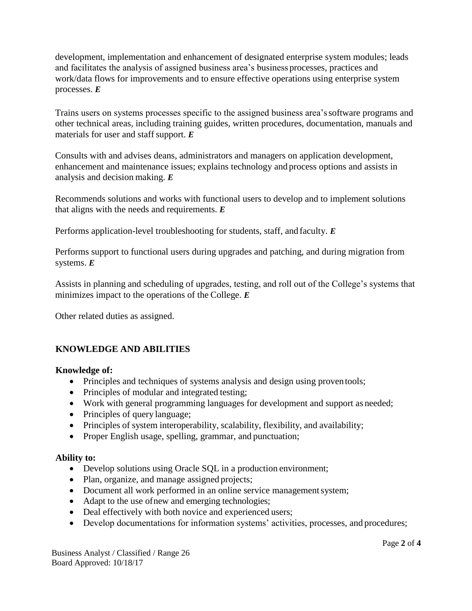development, implementation and enhancement of designated enterprise system modules; leads and facilitates the analysis of assigned business area's business processes, practices and work/data flows for improvements and to ensure effective operations using enterprise system processes. *E*

Trains users on systems processes specific to the assigned business area'ssoftware programs and other technical areas, including training guides, written procedures, documentation, manuals and materials for user and staff support. *E* 

Consults with and advises deans, administrators and managers on application development, enhancement and maintenance issues; explains technology and process options and assists in analysis and decision making. *E*

Recommends solutions and works with functional users to develop and to implement solutions that aligns with the needs and requirements. *E*

Performs application-level troubleshooting for students, staff, and faculty. *E*

Performs support to functional users during upgrades and patching, and during migration from systems. *E*

Assists in planning and scheduling of upgrades, testing, and roll out of the College's systems that minimizes impact to the operations of the College. *E*

Other related duties as assigned.

## **KNOWLEDGE AND ABILITIES**

#### **Knowledge of:**

- Principles and techniques of systems analysis and design using proven tools;
- Principles of modular and integrated testing;
- Work with general programming languages for development and support as needed;
- Principles of query language;
- Principles of system interoperability, scalability, flexibility, and availability;
- Proper English usage, spelling, grammar, and punctuation;

## **Ability to:**

- Develop solutions using Oracle SQL in a production environment;
- Plan, organize, and manage assigned projects;
- Document all work performed in an online service management system;
- Adapt to the use of new and emerging technologies;
- Deal effectively with both novice and experienced users;
- Develop documentations for information systems' activities, processes, and procedures;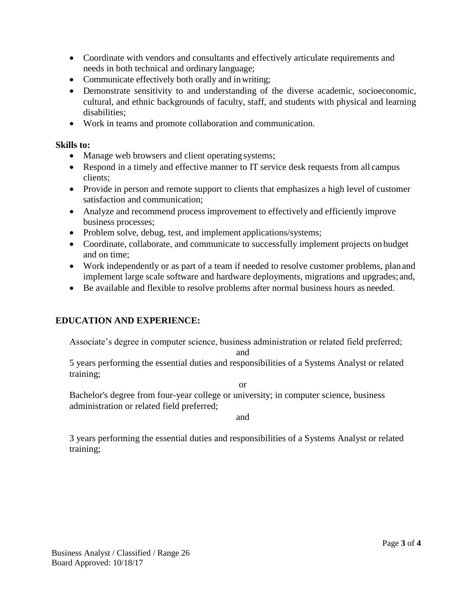- Coordinate with vendors and consultants and effectively articulate requirements and needs in both technical and ordinary language;
- Communicate effectively both orally and in writing;
- Demonstrate sensitivity to and understanding of the diverse academic, socioeconomic, cultural, and ethnic backgrounds of faculty, staff, and students with physical and learning disabilities;
- Work in teams and promote collaboration and communication.

## **Skills to:**

- Manage web browsers and client operating systems;
- Respond in a timely and effective manner to IT service desk requests from all campus clients;
- Provide in person and remote support to clients that emphasizes a high level of customer satisfaction and communication;
- Analyze and recommend process improvement to effectively and efficiently improve business processes;
- Problem solve, debug, test, and implement applications/systems;
- Coordinate, collaborate, and communicate to successfully implement projects on budget and on time;
- Work independently or as part of a team if needed to resolve customer problems, plan and implement large scale software and hardware deployments, migrations and upgrades; and,
- Be available and flexible to resolve problems after normal business hours as needed.

# **EDUCATION AND EXPERIENCE:**

Associate's degree in computer science, business administration or related field preferred;

and

5 years performing the essential duties and responsibilities of a Systems Analyst or related training;

or

Bachelor's degree from four-year college or university; in computer science, business administration or related field preferred;

and

3 years performing the essential duties and responsibilities of a Systems Analyst or related training;